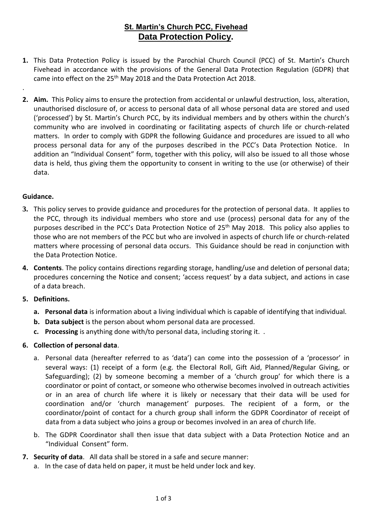# **St. Martin's Church PCC, Fivehead Data Protection Policy.**

- **1.** This Data Protection Policy is issued by the Parochial Church Council (PCC) of St. Martin's Church Fivehead in accordance with the provisions of the General Data Protection Regulation (GDPR) that came into effect on the 25<sup>th</sup> May 2018 and the Data Protection Act 2018.
- **2. Aim.** This Policy aims to ensure the protection from accidental or unlawful destruction, loss, alteration, unauthorised disclosure of, or access to personal data of all whose personal data are stored and used ('processed') by St. Martin's Church PCC, by its individual members and by others within the church's community who are involved in coordinating or facilitating aspects of church life or church-related matters. In order to comply with GDPR the following Guidance and procedures are issued to all who process personal data for any of the purposes described in the PCC's Data Protection Notice. In addition an "Individual Consent" form, together with this policy, will also be issued to all those whose data is held, thus giving them the opportunity to consent in writing to the use (or otherwise) of their data.

#### **Guidance.**

.

- **3.** This policy serves to provide guidance and procedures for the protection of personal data. It applies to the PCC, through its individual members who store and use (process) personal data for any of the purposes described in the PCC's Data Protection Notice of 25<sup>th</sup> May 2018. This policy also applies to those who are not members of the PCC but who are involved in aspects of church life or church-related matters where processing of personal data occurs. This Guidance should be read in conjunction with the Data Protection Notice.
- **4. Contents**. The policy contains directions regarding storage, handling/use and deletion of personal data; procedures concerning the Notice and consent; 'access request' by a data subject, and actions in case of a data breach.

### **5. Definitions.**

- **a. Personal data** is information about a living individual which is capable of identifying that individual.
- **b. Data subject** is the person about whom personal data are processed.
- **c. Processing** is anything done with/to personal data, including storing it. .

### **6. Collection of personal data**.

- a. Personal data (hereafter referred to as 'data') can come into the possession of a 'processor' in several ways: (1) receipt of a form (e.g. the Electoral Roll, Gift Aid, Planned/Regular Giving, or Safeguarding); (2) by someone becoming a member of a 'church group' for which there is a coordinator or point of contact, or someone who otherwise becomes involved in outreach activities or in an area of church life where it is likely or necessary that their data will be used for coordination and/or 'church management' purposes. The recipient of a form, or the coordinator/point of contact for a church group shall inform the GDPR Coordinator of receipt of data from a data subject who joins a group or becomes involved in an area of church life.
- b. The GDPR Coordinator shall then issue that data subject with a Data Protection Notice and an "Individual Consent" form.

### **7. Security of data**. All data shall be stored in a safe and secure manner:

a. In the case of data held on paper, it must be held under lock and key.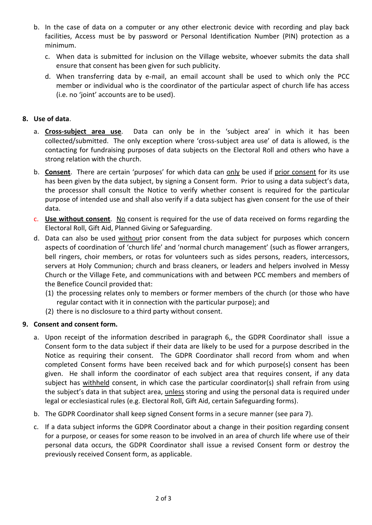- b. In the case of data on a computer or any other electronic device with recording and play back facilities, Access must be by password or Personal Identification Number (PIN) protection as a minimum.
	- c. When data is submitted for inclusion on the Village website, whoever submits the data shall ensure that consent has been given for such publicity.
	- d. When transferring data by e-mail, an email account shall be used to which only the PCC member or individual who is the coordinator of the particular aspect of church life has access (i.e. no 'joint' accounts are to be used).

## **8. Use of data**.

- a. **Cross-subject area use**. Data can only be in the 'subject area' in which it has been collected/submitted. The only exception where 'cross-subject area use' of data is allowed, is the contacting for fundraising purposes of data subjects on the Electoral Roll and others who have a strong relation with the church.
- b. **Consent**. There are certain 'purposes' for which data can only be used if prior consent for its use has been given by the data subject, by signing a Consent form. Prior to using a data subject's data, the processor shall consult the Notice to verify whether consent is required for the particular purpose of intended use and shall also verify if a data subject has given consent for the use of their data.
- c. **Use without consent**. No consent is required for the use of data received on forms regarding the Electoral Roll, Gift Aid, Planned Giving or Safeguarding.
- d. Data can also be used without prior consent from the data subject for purposes which concern aspects of coordination of 'church life' and 'normal church management' (such as flower arrangers, bell ringers, choir members, or rotas for volunteers such as sides persons, readers, intercessors, servers at Holy Communion; church and brass cleaners, or leaders and helpers involved in Messy Church or the Village Fete, and communications with and between PCC members and members of the Benefice Council provided that:
	- (1) the processing relates only to members or former members of the church (or those who have regular contact with it in connection with the particular purpose); and
	- (2) there is no disclosure to a third party without consent.

### **9. Consent and consent form.**

- a. Upon receipt of the information described in paragraph 6,, the GDPR Coordinator shall issue a Consent form to the data subject if their data are likely to be used for a purpose described in the Notice as requiring their consent. The GDPR Coordinator shall record from whom and when completed Consent forms have been received back and for which purpose(s) consent has been given. He shall inform the coordinator of each subject area that requires consent, if any data subject has withheld consent, in which case the particular coordinator(s) shall refrain from using the subject's data in that subject area, unless storing and using the personal data is required under legal or ecclesiastical rules (e.g. Electoral Roll, Gift Aid, certain Safeguarding forms).
- b. The GDPR Coordinator shall keep signed Consent forms in a secure manner (see para 7).
- c. If a data subject informs the GDPR Coordinator about a change in their position regarding consent for a purpose, or ceases for some reason to be involved in an area of church life where use of their personal data occurs, the GDPR Coordinator shall issue a revised Consent form or destroy the previously received Consent form, as applicable.